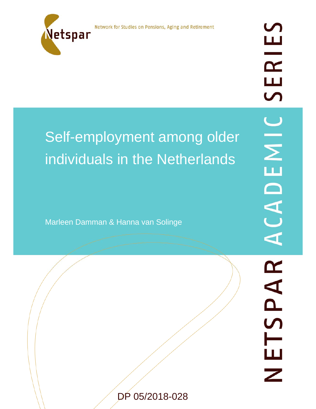Network for Studies on Pensions, Aging and Retirement



# Self-employment among older individuals in the Netherlands

Marleen Damman & Hanna van Solinge

DP 05/2018-028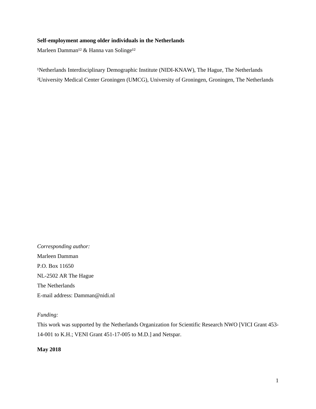# **Self-employment among older individuals in the Netherlands**

Marleen Damman<sup>12</sup> & Hanna van Solinge<sup>12</sup>

<sup>1</sup>Netherlands Interdisciplinary Demographic Institute (NIDI-KNAW), The Hague, The Netherlands ²University Medical Center Groningen (UMCG), University of Groningen, Groningen, The Netherlands

*Corresponding author:*  Marleen Damman P.O. Box 11650 NL-2502 AR The Hague The Netherlands E-mail address: Damman@nidi.nl

# *Funding:*

This work was supported by the Netherlands Organization for Scientific Research NWO [VICI Grant 453- 14-001 to K.H.; VENI Grant 451-17-005 to M.D.] and Netspar.

**May 2018**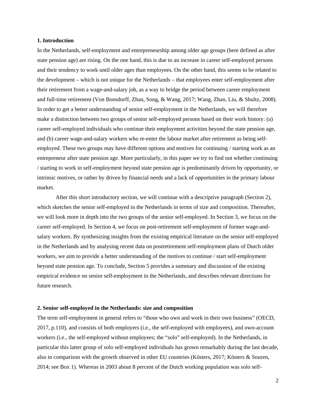#### **1. Introduction**

In the Netherlands, self-employment and entrepreneurship among older age groups (here defined as after state pension age) are rising. On the one hand, this is due to an increase in career self-employed persons and their tendency to work until older ages than employees. On the other hand, this seems to be related to the development – which is not unique for the Netherlands – that employees enter self-employment after their retirement from a wage-and-salary job, as a way to bridge the period between career employment and full-time retirement (Von Bonsdorff, Zhan, Song, & Wang, 2017; Wang, Zhan, Liu, & Shultz, 2008). In order to get a better understanding of senior self-employment in the Netherlands, we will therefore make a distinction between two groups of senior self-employed persons based on their work history: (a) career self-employed individuals who continue their employment activities beyond the state pension age, and (b) career wage-and-salary workers who re-enter the labour market after retirement as being selfemployed. These two groups may have different options and motives for continuing / starting work as an entrepreneur after state pension age. More particularly, in this paper we try to find out whether continuing / starting to work in self-employment beyond state pension age is predominantly driven by opportunity, or intrinsic motives, or rather by driven by financial needs and a lack of opportunities in the primary labour market.

 After this short introductory section, we will continue with a descriptive paragraph (Section 2), which sketches the senior self-employed in the Netherlands in terms of size and composition. Thereafter, we will look more in depth into the two groups of the senior self-employed. In Section 3, we focus on the career self-employed. In Section 4, we focus on post-retirement self-employment of former wage-andsalary workers. By synthesizing insights from the existing empirical literature on the senior self-employed in the Netherlands and by analysing recent data on postretirement self-employment plans of Dutch older workers, we aim to provide a better understanding of the motives to continue / start self-employment beyond state pension age. To conclude, Section 5 provides a summary and discussion of the existing empirical evidence on senior self-employment in the Netherlands, and describes relevant directions for future research.

#### **2. Senior self-employed in the Netherlands: size and composition**

The term self-employment in general refers to "those who own and work in their own business" (OECD, 2017, p.110), and consists of both employers (i.e., the self-employed with employees), and own-account workers (i.e., the self-employed without employees; the "solo" self-employed). In the Netherlands, in particular this latter group of solo self-employed individuals has grown remarkably during the last decade, also in comparison with the growth observed in other EU countries (Kösters, 2017; Kösters & Souren, 2014; see Box 1). Whereas in 2003 about 8 percent of the Dutch working population was solo self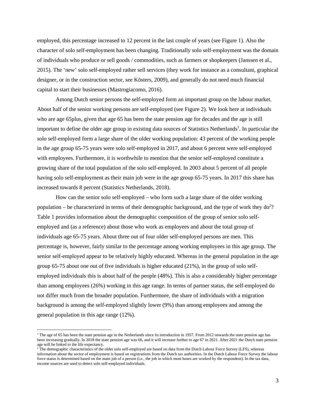employed, this percentage increased to 12 percent in the last couple of years (see Figure 1). Also the character of solo self-employment has been changing. Traditionally solo self-employment was the domain of individuals who produce or sell goods / commodities, such as farmers or shopkeepers (Janssen et al., 2015). The 'new' solo self-employed rather sell services (they work for instance as a consultant, graphical designer, or in the construction sector, see Kösters, 2009), and generally do not need much financial capital to start their businesses (Mastrogiacomo, 2016).

Among Dutch senior persons the self-employed form an important group on the labour market. About half of the senior working persons are self-employed (see Figure 2). We look here at individuals who are age 65plus, given that age 65 has been the state pension age for decades and the age is still important to define the older age group in existing data sources of Statistics Netherlands<sup>1</sup>. In particular the solo self-employed form a large share of the older working population: 43 percent of the working people in the age group 65-75 years were solo self-employed in 2017, and about 6 percent were self-employed with employees. Furthermore, it is worthwhile to mention that the senior self-employed constitute a growing share of the total population of the solo self-employed. In 2003 about 5 percent of all people having solo self-employment as their main job were in the age group 65-75 years. In 2017 this share has increased towards 8 percent (Statistics Netherlands, 2018).

How can the senior solo self-employed – who form such a large share of the older working population – be characterized in terms of their demographic background, and the type of work they  $d\sigma^2$ ? Table 1 provides information about the demographic composition of the group of senior solo selfemployed and (as a reference) about those who work as employees and about the total group of individuals age 65-75 years. About three out of four older self-employed persons are men. This percentage is, however, fairly similar to the percentage among working employees in this age group. The senior self-employed appear to be relatively highly educated. Whereas in the general population in the age group 65-75 about one out of five individuals is higher educated (21%), in the group of solo selfemployed individuals this is about half of the people (48%). This is also a considerably higher percentage than among employees (26%) working in this age range. In terms of partner status, the self-employed do not differ much from the broader population. Furthermore, the share of individuals with a migration background is among the self-employed slightly lower (9%) than among employees and among the general population in this age range (12%).

<sup>&</sup>lt;sup>1</sup> The age of 65 has been the state pension age in the Netherlands since its introduction in 1957. From 2012 onwards the state pension age has been increasing gradually. In 2018 the state pension age was 66, and it will increase further to age 67 in 2021. After 2021 the Dutch state pension age will be linked to the life expectancy.<br><sup>2</sup> The demographic characteristics of the older solo self-employed are based on data from the Dutch Labour Force Survey (LFS), whereas

information about the sector of employment is based on registrations from the Dutch tax authorities. In the Dutch Labour Force Survey the labour force status is determined based on the main job of a person (i.e., the job in which most hours are worked by the respondent). In the tax data, income sources are used to detect solo self-employed individuals.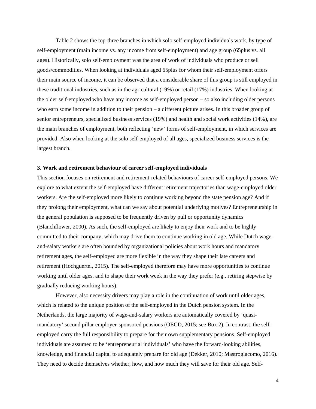Table 2 shows the top-three branches in which solo self-employed individuals work, by type of self-employment (main income vs. any income from self-employment) and age group (65plus vs. all ages). Historically, solo self-employment was the area of work of individuals who produce or sell goods/commodities. When looking at individuals aged 65plus for whom their self-employment offers their main source of income, it can be observed that a considerable share of this group is still employed in these traditional industries, such as in the agricultural (19%) or retail (17%) industries. When looking at the older self-employed who have any income as self-employed person – so also including older persons who earn some income in addition to their pension – a different picture arises. In this broader group of senior entrepreneurs, specialized business services (19%) and health and social work activities (14%), are the main branches of employment, both reflecting 'new' forms of self-employment, in which services are provided. Also when looking at the solo self-employed of all ages, specialized business services is the largest branch.

# **3. Work and retirement behaviour of career self-employed individuals**

This section focuses on retirement and retirement-related behaviours of career self-employed persons. We explore to what extent the self-employed have different retirement trajectories than wage-employed older workers. Are the self-employed more likely to continue working beyond the state pension age? And if they prolong their employment, what can we say about potential underlying motives? Entrepreneurship in the general population is supposed to be frequently driven by pull or opportunity dynamics (Blanchflower, 2000). As such, the self-employed are likely to enjoy their work and to be highly committed to their company, which may drive them to continue working in old age. While Dutch wageand-salary workers are often bounded by organizational policies about work hours and mandatory retirement ages, the self-employed are more flexible in the way they shape their late careers and retirement (Hochguertel, 2015). The self-employed therefore may have more opportunities to continue working until older ages, and to shape their work week in the way they prefer (e.g., retiring stepwise by gradually reducing working hours).

However, also necessity drivers may play a role in the continuation of work until older ages, which is related to the unique position of the self-employed in the Dutch pension system. In the Netherlands, the large majority of wage-and-salary workers are automatically covered by 'quasimandatory' second pillar employer-sponsored pensions (OECD, 2015; see Box 2). In contrast, the selfemployed carry the full responsibility to prepare for their own supplementary pensions. Self-employed individuals are assumed to be 'entrepreneurial individuals' who have the forward-looking abilities, knowledge, and financial capital to adequately prepare for old age (Dekker, 2010; Mastrogiacomo, 2016). They need to decide themselves whether, how, and how much they will save for their old age. Self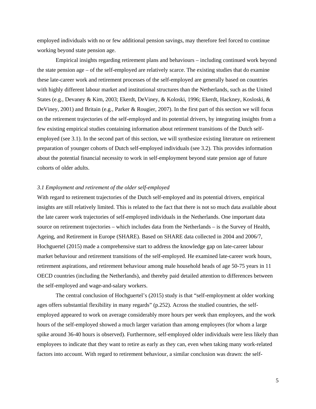employed individuals with no or few additional pension savings, may therefore feel forced to continue working beyond state pension age.

Empirical insights regarding retirement plans and behaviours – including continued work beyond the state pension age – of the self-employed are relatively scarce. The existing studies that do examine these late-career work and retirement processes of the self-employed are generally based on countries with highly different labour market and institutional structures than the Netherlands, such as the United States (e.g., Devaney & Kim, 2003; Ekerdt, DeViney, & Koloski, 1996; Ekerdt, Hackney, Kosloski, & DeViney, 2001) and Britain (e.g., Parker & Rougier, 2007). In the first part of this section we will focus on the retirement trajectories of the self-employed and its potential drivers, by integrating insights from a few existing empirical studies containing information about retirement transitions of the Dutch selfemployed (see 3.1). In the second part of this section, we will synthesize existing literature on retirement preparation of younger cohorts of Dutch self-employed individuals (see 3.2). This provides information about the potential financial necessity to work in self-employment beyond state pension age of future cohorts of older adults.

## *3.1 Employment and retirement of the older self-employed*

With regard to retirement trajectories of the Dutch self-employed and its potential drivers, empirical insights are still relatively limited. This is related to the fact that there is not so much data available about the late career work trajectories of self-employed individuals in the Netherlands. One important data source on retirement trajectories – which includes data from the Netherlands – is the Survey of Health, Ageing, and Retirement in Europe (SHARE). Based on SHARE data collected in 2004 and 2006/7, Hochguertel (2015) made a comprehensive start to address the knowledge gap on late-career labour market behaviour and retirement transitions of the self-employed. He examined late-career work hours, retirement aspirations, and retirement behaviour among male household heads of age 50-75 years in 11 OECD countries (including the Netherlands), and thereby paid detailed attention to differences between the self-employed and wage-and-salary workers.

The central conclusion of Hochguertel's (2015) study is that "self-employment at older working ages offers substantial flexibility in many regards" (p.252). Across the studied countries, the selfemployed appeared to work on average considerably more hours per week than employees, and the work hours of the self-employed showed a much larger variation than among employees (for whom a large spike around 36-40 hours is observed). Furthermore, self-employed older individuals were less likely than employees to indicate that they want to retire as early as they can, even when taking many work-related factors into account. With regard to retirement behaviour, a similar conclusion was drawn: the self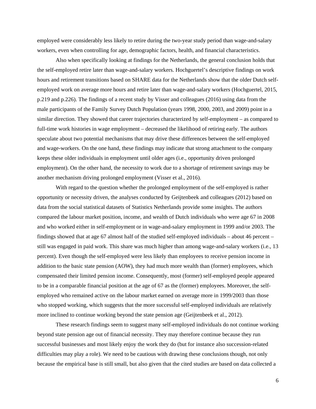employed were considerably less likely to retire during the two-year study period than wage-and-salary workers, even when controlling for age, demographic factors, health, and financial characteristics.

Also when specifically looking at findings for the Netherlands, the general conclusion holds that the self-employed retire later than wage-and-salary workers. Hochguertel's descriptive findings on work hours and retirement transitions based on SHARE data for the Netherlands show that the older Dutch selfemployed work on average more hours and retire later than wage-and-salary workers (Hochguertel, 2015, p.219 and p.226). The findings of a recent study by Visser and colleagues (2016) using data from the male participants of the Family Survey Dutch Population (years 1998, 2000, 2003, and 2009) point in a similar direction. They showed that career trajectories characterized by self-employment – as compared to full-time work histories in wage employment – decreased the likelihood of retiring early. The authors speculate about two potential mechanisms that may drive these differences between the self-employed and wage-workers. On the one hand, these findings may indicate that strong attachment to the company keeps these older individuals in employment until older ages (i.e., opportunity driven prolonged employment). On the other hand, the necessity to work due to a shortage of retirement savings may be another mechanism driving prolonged employment (Visser et al., 2016).

With regard to the question whether the prolonged employment of the self-employed is rather opportunity or necessity driven, the analyses conducted by Geijtenbeek and colleagues (2012) based on data from the social statistical datasets of Statistics Netherlands provide some insights. The authors compared the labour market position, income, and wealth of Dutch individuals who were age 67 in 2008 and who worked either in self-employment or in wage-and-salary employment in 1999 and/or 2003. The findings showed that at age 67 almost half of the studied self-employed individuals – about 46 percent – still was engaged in paid work. This share was much higher than among wage-and-salary workers (i.e., 13 percent). Even though the self-employed were less likely than employees to receive pension income in addition to the basic state pension (AOW), they had much more wealth than (former) employees, which compensated their limited pension income. Consequently, most (former) self-employed people appeared to be in a comparable financial position at the age of 67 as the (former) employees. Moreover, the selfemployed who remained active on the labour market earned on average more in 1999/2003 than those who stopped working, which suggests that the more successful self-employed individuals are relatively more inclined to continue working beyond the state pension age (Geijtenbeek et al., 2012).

 These research findings seem to suggest many self-employed individuals do not continue working beyond state pension age out of financial necessity. They may therefore continue because they run successful businesses and most likely enjoy the work they do (but for instance also succession-related difficulties may play a role). We need to be cautious with drawing these conclusions though, not only because the empirical base is still small, but also given that the cited studies are based on data collected a

6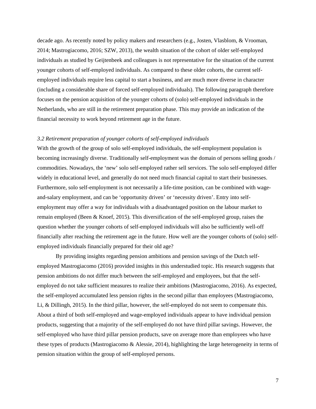decade ago. As recently noted by policy makers and researchers (e.g., Josten, Vlasblom, & Vrooman, 2014; Mastrogiacomo, 2016; SZW, 2013), the wealth situation of the cohort of older self-employed individuals as studied by Geijtenbeek and colleagues is not representative for the situation of the current younger cohorts of self-employed individuals. As compared to these older cohorts, the current selfemployed individuals require less capital to start a business, and are much more diverse in character (including a considerable share of forced self-employed individuals). The following paragraph therefore focuses on the pension acquisition of the younger cohorts of (solo) self-employed individuals in the Netherlands, who are still in the retirement preparation phase. This may provide an indication of the financial necessity to work beyond retirement age in the future.

## *3.2 Retirement preparation of younger cohorts of self-employed individuals*

With the growth of the group of solo self-employed individuals, the self-employment population is becoming increasingly diverse. Traditionally self-employment was the domain of persons selling goods / commodities. Nowadays, the 'new' solo self-employed rather sell services. The solo self-employed differ widely in educational level, and generally do not need much financial capital to start their businesses. Furthermore, solo self-employment is not necessarily a life-time position, can be combined with wageand-salary employment, and can be 'opportunity driven' or 'necessity driven'. Entry into selfemployment may offer a way for individuals with a disadvantaged position on the labour market to remain employed (Been & Knoef, 2015). This diversification of the self-employed group, raises the question whether the younger cohorts of self-employed individuals will also be sufficiently well-off financially after reaching the retirement age in the future. How well are the younger cohorts of (solo) selfemployed individuals financially prepared for their old age?

By providing insights regarding pension ambitions and pension savings of the Dutch selfemployed Mastrogiacomo (2016) provided insights in this understudied topic. His research suggests that pension ambitions do not differ much between the self-employed and employees, but that the selfemployed do not take sufficient measures to realize their ambitions (Mastrogiacomo, 2016). As expected, the self-employed accumulated less pension rights in the second pillar than employees (Mastrogiacomo, Li, & Dillingh, 2015). In the third pillar, however, the self-employed do not seem to compensate this. About a third of both self-employed and wage-employed individuals appear to have individual pension products, suggesting that a majority of the self-employed do not have third pillar savings. However, the self-employed who have third pillar pension products, save on average more than employees who have these types of products (Mastrogiacomo & Alessie, 2014), highlighting the large heterogeneity in terms of pension situation within the group of self-employed persons.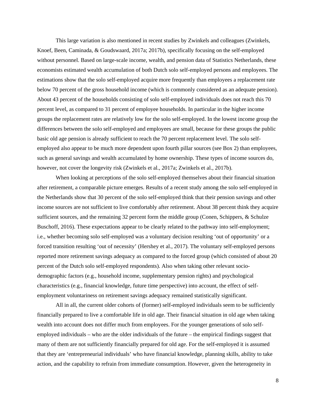This large variation is also mentioned in recent studies by Zwinkels and colleagues (Zwinkels, Knoef, Been, Caminada, & Goudswaard, 2017a; 2017b), specifically focusing on the self-employed without personnel. Based on large-scale income, wealth, and pension data of Statistics Netherlands, these economists estimated wealth accumulation of both Dutch solo self-employed persons and employees. The estimations show that the solo self-employed acquire more frequently than employees a replacement rate below 70 percent of the gross household income (which is commonly considered as an adequate pension). About 43 percent of the households consisting of solo self-employed individuals does not reach this 70 percent level, as compared to 31 percent of employee households. In particular in the higher income groups the replacement rates are relatively low for the solo self-employed. In the lowest income group the differences between the solo self-employed and employees are small, because for these groups the public basic old age pension is already sufficient to reach the 70 percent replacement level. The solo selfemployed also appear to be much more dependent upon fourth pillar sources (see Box 2) than employees, such as general savings and wealth accumulated by home ownership. These types of income sources do, however, not cover the longevity risk (Zwinkels et al., 2017a; Zwinkels et al., 2017b).

When looking at perceptions of the solo self-employed themselves about their financial situation after retirement, a comparable picture emerges. Results of a recent study among the solo self-employed in the Netherlands show that 30 percent of the solo self-employed think that their pension savings and other income sources are not sufficient to live comfortably after retirement. About 38 percent think they acquire sufficient sources, and the remaining 32 percent form the middle group (Conen, Schippers, & Schulze Buschoff, 2016). These expectations appear to be clearly related to the pathway into self-employment; i.e., whether becoming solo self-employed was a voluntary decision resulting 'out of opportunity' or a forced transition resulting 'out of necessity' (Hershey et al., 2017). The voluntary self-employed persons reported more retirement savings adequacy as compared to the forced group (which consisted of about 20 percent of the Dutch solo self-employed respondents). Also when taking other relevant sociodemographic factors (e.g., household income, supplementary pension rights) and psychological characteristics (e.g., financial knowledge, future time perspective) into account, the effect of selfemployment voluntariness on retirement savings adequacy remained statistically significant.

All in all, the current older cohorts of (former) self-employed individuals seem to be sufficiently financially prepared to live a comfortable life in old age. Their financial situation in old age when taking wealth into account does not differ much from employees. For the younger generations of solo selfemployed individuals – who are the older individuals of the future – the empirical findings suggest that many of them are not sufficiently financially prepared for old age. For the self-employed it is assumed that they are 'entrepreneurial individuals' who have financial knowledge, planning skills, ability to take action, and the capability to refrain from immediate consumption. However, given the heterogeneity in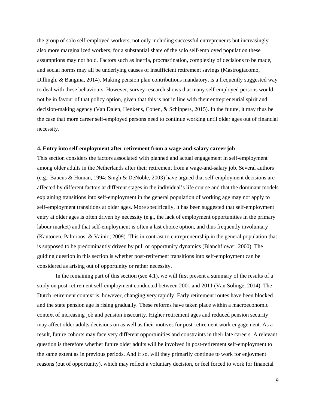the group of solo self-employed workers, not only including successful entrepreneurs but increasingly also more marginalized workers, for a substantial share of the solo self-employed population these assumptions may not hold. Factors such as inertia, procrastination, complexity of decisions to be made, and social norms may all be underlying causes of insufficient retirement savings (Mastrogiacomo, Dillingh, & Bangma, 2014). Making pension plan contributions mandatory, is a frequently suggested way to deal with these behaviours. However, survey research shows that many self-employed persons would not be in favour of that policy option, given that this is not in line with their entrepreneurial spirit and decision-making agency (Van Dalen, Henkens, Conen, & Schippers, 2015). In the future, it may thus be the case that more career self-employed persons need to continue working until older ages out of financial necessity.

#### **4. Entry into self-employment after retirement from a wage-and-salary career job**

This section considers the factors associated with planned and actual engagement in self-employment among older adults in the Netherlands after their retirement from a wage-and-salary job. Several authors (e.g., Baucus & Human, 1994; Singh & DeNoble, 2003) have argued that self-employment decisions are affected by different factors at different stages in the individual's life course and that the dominant models explaining transitions into self-employment in the general population of working age may not apply to self-employment transitions at older ages. More specifically, it has been suggested that self-employment entry at older ages is often driven by necessity (e.g., the lack of employment opportunities in the primary labour market) and that self-employment is often a last choice option, and thus frequently involuntary (Kautonen, Palmroos, & Vainio, 2009). This in contrast to entrepreneurship in the general population that is supposed to be predominantly driven by pull or opportunity dynamics (Blanchflower, 2000). The guiding question in this section is whether post-retirement transitions into self-employment can be considered as arising out of opportunity or rather necessity.

In the remaining part of this section (see 4.1), we will first present a summary of the results of a study on post-retirement self-employment conducted between 2001 and 2011 (Van Solinge, 2014). The Dutch retirement context is, however, changing very rapidly. Early retirement routes have been blocked and the state pension age is rising gradually. These reforms have taken place within a macroeconomic context of increasing job and pension insecurity. Higher retirement ages and reduced pension security may affect older adults decisions on as well as their motives for post-retirement work engagement. As a result, future cohorts may face very different opportunities and constraints in their late careers. A relevant question is therefore whether future older adults will be involved in post-retirement self-employment to the same extent as in previous periods. And if so, will they primarily continue to work for enjoyment reasons (out of opportunity), which may reflect a voluntary decision, or feel forced to work for financial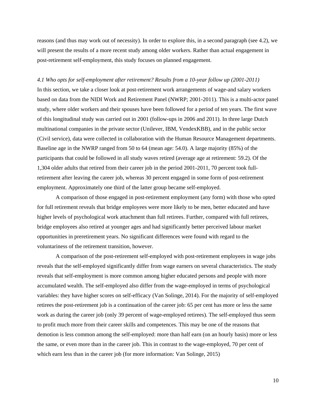reasons (and thus may work out of necessity). In order to explore this, in a second paragraph (see 4.2), we will present the results of a more recent study among older workers. Rather than actual engagement in post-retirement self-employment, this study focuses on planned engagement.

## *4.1 Who opts for self-employment after retirement? Results from a 10-year follow up (2001-2011)*

In this section, we take a closer look at post-retirement work arrangements of wage-and salary workers based on data from the NIDI Work and Retirement Panel (NWRP; 2001-2011). This is a multi-actor panel study, where older workers and their spouses have been followed for a period of ten years. The first wave of this longitudinal study was carried out in 2001 (follow-ups in 2006 and 2011). In three large Dutch multinational companies in the private sector (Unilever, IBM, VendexKBB), and in the public sector (Civil service), data were collected in collaboration with the Human Resource Management departments. Baseline age in the NWRP ranged from 50 to 64 (mean age: 54.0). A large majority (85%) of the participants that could be followed in all study waves retired (average age at retirement: 59.2). Of the 1,304 older adults that retired from their career job in the period 2001-2011, 70 percent took fullretirement after leaving the career job, whereas 30 percent engaged in some form of post-retirement employment. Approximately one third of the latter group became self-employed.

A comparison of those engaged in post-retirement employment (any form) with those who opted for full retirement reveals that bridge employees were more likely to be men, better educated and have higher levels of psychological work attachment than full retirees. Further, compared with full retirees, bridge employees also retired at younger ages and had significantly better perceived labour market opportunities in preretirement years. No significant differences were found with regard to the voluntariness of the retirement transition, however.

A comparison of the post-retirement self-employed with post-retirement employees in wage jobs reveals that the self-employed significantly differ from wage earners on several characteristics. The study reveals that self-employment is more common among higher educated persons and people with more accumulated wealth. The self-employed also differ from the wage-employed in terms of psychological variables: they have higher scores on self-efficacy (Van Solinge, 2014). For the majority of self-employed retirees the post-retirement job is a continuation of the career job: 65 per cent has more or less the same work as during the career job (only 39 percent of wage-employed retirees). The self-employed thus seem to profit much more from their career skills and competences. This may be one of the reasons that demotion is less common among the self-employed: more than half earn (on an hourly basis) more or less the same, or even more than in the career job. This in contrast to the wage-employed, 70 per cent of which earn less than in the career job (for more information: Van Solinge, 2015)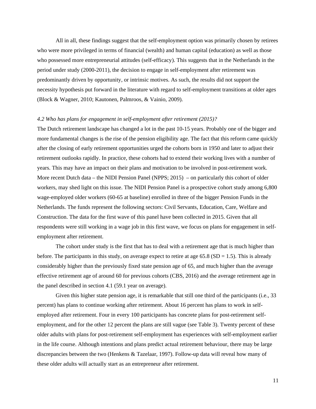All in all, these findings suggest that the self-employment option was primarily chosen by retirees who were more privileged in terms of financial (wealth) and human capital (education) as well as those who possessed more entrepreneurial attitudes (self-efficacy). This suggests that in the Netherlands in the period under study (2000-2011), the decision to engage in self-employment after retirement was predominantly driven by opportunity, or intrinsic motives. As such, the results did not support the necessity hypothesis put forward in the literature with regard to self-employment transitions at older ages (Block & Wagner, 2010; Kautonen, Palmroos, & Vainio, 2009).

# *4.2 Who has plans for engagement in self-employment after retirement (2015)?*

The Dutch retirement landscape has changed a lot in the past 10-15 years. Probably one of the bigger and more fundamental changes is the rise of the pension eligibility age. The fact that this reform came quickly after the closing of early retirement opportunities urged the cohorts born in 1950 and later to adjust their retirement outlooks rapidly. In practice, these cohorts had to extend their working lives with a number of years. This may have an impact on their plans and motivation to be involved in post-retirement work. More recent Dutch data – the NIDI Pension Panel (NPPS; 2015) – on particularly this cohort of older workers, may shed light on this issue. The NIDI Pension Panel is a prospective cohort study among 6,800 wage-employed older workers (60-65 at baseline) enrolled in three of the bigger Pension Funds in the Netherlands. The funds represent the following sectors: Civil Servants, Education, Care, Welfare and Construction. The data for the first wave of this panel have been collected in 2015. Given that all respondents were still working in a wage job in this first wave, we focus on plans for engagement in selfemployment after retirement.

The cohort under study is the first that has to deal with a retirement age that is much higher than before. The participants in this study, on average expect to retire at age 65.8 (SD = 1.5). This is already considerably higher than the previously fixed state pension age of 65, and much higher than the average effective retirement age of around 60 for previous cohorts (CBS, 2016) and the average retirement age in the panel described in section 4.1 (59.1 year on average).

Given this higher state pension age, it is remarkable that still one third of the participants (i.e., 33 percent) has plans to continue working after retirement. About 16 percent has plans to work in selfemployed after retirement. Four in every 100 participants has concrete plans for post-retirement selfemployment, and for the other 12 percent the plans are still vague (see Table 3). Twenty percent of these older adults with plans for post-retirement self-employment has experiences with self-employment earlier in the life course. Although intentions and plans predict actual retirement behaviour, there may be large discrepancies between the two (Henkens & Tazelaar, 1997). Follow-up data will reveal how many of these older adults will actually start as an entrepreneur after retirement.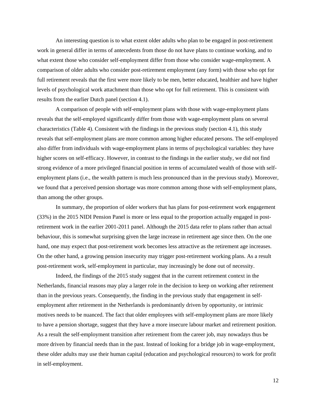An interesting question is to what extent older adults who plan to be engaged in post-retirement work in general differ in terms of antecedents from those do not have plans to continue working, and to what extent those who consider self-employment differ from those who consider wage-employment. A comparison of older adults who consider post-retirement employment (any form) with those who opt for full retirement reveals that the first were more likely to be men, better educated, healthier and have higher levels of psychological work attachment than those who opt for full retirement. This is consistent with results from the earlier Dutch panel (section 4.1).

A comparison of people with self-employment plans with those with wage-employment plans reveals that the self-employed significantly differ from those with wage-employment plans on several characteristics (Table 4). Consistent with the findings in the previous study (section 4.1), this study reveals that self-employment plans are more common among higher educated persons. The self-employed also differ from individuals with wage-employment plans in terms of psychological variables: they have higher scores on self-efficacy. However, in contrast to the findings in the earlier study, we did not find strong evidence of a more privileged financial position in terms of accumulated wealth of those with selfemployment plans (i.e., the wealth pattern is much less pronounced than in the previous study). Moreover, we found that a perceived pension shortage was more common among those with self-employment plans, than among the other groups.

In summary, the proportion of older workers that has plans for post-retirement work engagement (33%) in the 2015 NIDI Pension Panel is more or less equal to the proportion actually engaged in postretirement work in the earlier 2001-2011 panel. Although the 2015 data refer to plans rather than actual behaviour, this is somewhat surprising given the large increase in retirement age since then. On the one hand, one may expect that post-retirement work becomes less attractive as the retirement age increases. On the other hand, a growing pension insecurity may trigger post-retirement working plans. As a result post-retirement work, self-employment in particular, may increasingly be done out of necessity.

Indeed, the findings of the 2015 study suggest that in the current retirement context in the Netherlands, financial reasons may play a larger role in the decision to keep on working after retirement than in the previous years. Consequently, the finding in the previous study that engagement in selfemployment after retirement in the Netherlands is predominantly driven by opportunity, or intrinsic motives needs to be nuanced. The fact that older employees with self-employment plans are more likely to have a pension shortage, suggest that they have a more insecure labour market and retirement position. As a result the self-employment transition after retirement from the career job, may nowadays thus be more driven by financial needs than in the past. Instead of looking for a bridge job in wage-employment, these older adults may use their human capital (education and psychological resources) to work for profit in self-employment.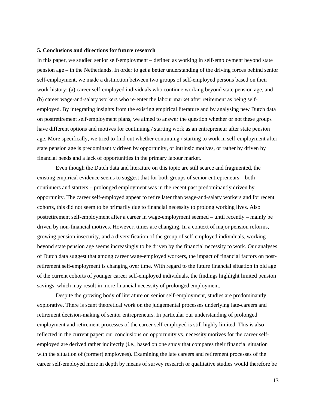#### **5. Conclusions and directions for future research**

In this paper, we studied senior self-employment – defined as working in self-employment beyond state pension age – in the Netherlands. In order to get a better understanding of the driving forces behind senior self-employment, we made a distinction between two groups of self-employed persons based on their work history: (a) career self-employed individuals who continue working beyond state pension age, and (b) career wage-and-salary workers who re-enter the labour market after retirement as being selfemployed. By integrating insights from the existing empirical literature and by analysing new Dutch data on postretirement self-employment plans, we aimed to answer the question whether or not these groups have different options and motives for continuing / starting work as an entrepreneur after state pension age. More specifically, we tried to find out whether continuing / starting to work in self-employment after state pension age is predominantly driven by opportunity, or intrinsic motives, or rather by driven by financial needs and a lack of opportunities in the primary labour market.

Even though the Dutch data and literature on this topic are still scarce and fragmented, the existing empirical evidence seems to suggest that for both groups of senior entrepreneurs – both continuers and starters – prolonged employment was in the recent past predominantly driven by opportunity. The career self-employed appear to retire later than wage-and-salary workers and for recent cohorts, this did not seem to be primarily due to financial necessity to prolong working lives. Also postretirement self-employment after a career in wage-employment seemed – until recently – mainly be driven by non-financial motives. However, times are changing. In a context of major pension reforms, growing pension insecurity, and a diversification of the group of self-employed individuals, working beyond state pension age seems increasingly to be driven by the financial necessity to work. Our analyses of Dutch data suggest that among career wage-employed workers, the impact of financial factors on postretirement self-employment is changing over time. With regard to the future financial situation in old age of the current cohorts of younger career self-employed individuals, the findings highlight limited pension savings, which may result in more financial necessity of prolonged employment.

Despite the growing body of literature on senior self-employment, studies are predominantly explorative. There is scant theoretical work on the judgemental processes underlying late-careers and retirement decision-making of senior entrepreneurs. In particular our understanding of prolonged employment and retirement processes of the career self-employed is still highly limited. This is also reflected in the current paper: our conclusions on opportunity vs. necessity motives for the career selfemployed are derived rather indirectly (i.e., based on one study that compares their financial situation with the situation of (former) employees). Examining the late careers and retirement processes of the career self-employed more in depth by means of survey research or qualitative studies would therefore be

13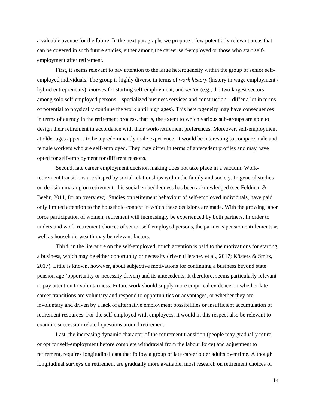a valuable avenue for the future. In the next paragraphs we propose a few potentially relevant areas that can be covered in such future studies, either among the career self-employed or those who start selfemployment after retirement.

First, it seems relevant to pay attention to the large heterogeneity within the group of senior selfemployed individuals. The group is highly diverse in terms of *work history* (history in wage employment / hybrid entrepreneurs), *motives* for starting self-employment, and *sector* (e.g., the two largest sectors among solo self-employed persons – specialized business services and construction – differ a lot in terms of potential to physically continue the work until high ages). This heterogeneity may have consequences in terms of agency in the retirement process, that is, the extent to which various sub-groups are able to design their retirement in accordance with their work-retirement preferences. Moreover, self-employment at older ages appears to be a predominantly male experience. It would be interesting to compare male and female workers who are self-employed. They may differ in terms of antecedent profiles and may have opted for self-employment for different reasons.

Second, late career employment decision making does not take place in a vacuum. Workretirement transitions are shaped by social relationships within the family and society. In general studies on decision making on retirement, this social embeddedness has been acknowledged (see Feldman & Beehr, 2011, for an overview). Studies on retirement behaviour of self-employed individuals, have paid only limited attention to the household context in which these decisions are made. With the growing labor force participation of women, retirement will increasingly be experienced by both partners. In order to understand work-retirement choices of senior self-employed persons, the partner's pension entitlements as well as household wealth may be relevant factors.

Third, in the literature on the self-employed, much attention is paid to the motivations for starting a business, which may be either opportunity or necessity driven (Hershey et al., 2017; Kösters & Smits, 2017). Little is known, however, about subjective motivations for continuing a business beyond state pension age (opportunity or necessity driven) and its antecedents. It therefore, seems particularly relevant to pay attention to voluntariness. Future work should supply more empirical evidence on whether late career transitions are voluntary and respond to opportunities or advantages, or whether they are involuntary and driven by a lack of alternative employment possibilities or insufficient accumulation of retirement resources. For the self-employed with employees, it would in this respect also be relevant to examine succession-related questions around retirement.

Last, the increasing dynamic character of the retirement transition (people may gradually retire, or opt for self-employment before complete withdrawal from the labour force) and adjustment to retirement, requires longitudinal data that follow a group of late career older adults over time. Although longitudinal surveys on retirement are gradually more available, most research on retirement choices of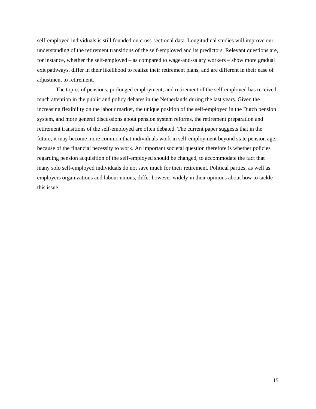self-employed individuals is still founded on cross-sectional data. Longitudinal studies will improve our understanding of the retirement transitions of the self-employed and its predictors. Relevant questions are, for instance, whether the self-employed – as compared to wage-and-salary workers – show more gradual exit pathways, differ in their likelihood to realize their retirement plans, and are different in their ease of adjustment to retirement.

The topics of pensions, prolonged employment, and retirement of the self-employed has received much attention in the public and policy debates in the Netherlands during the last years. Given the increasing flexibility on the labour market, the unique position of the self-employed in the Dutch pension system, and more general discussions about pension system reforms, the retirement preparation and retirement transitions of the self-employed are often debated. The current paper suggests that in the future, it may become more common that individuals work in self-employment beyond state pension age, because of the financial necessity to work. An important societal question therefore is whether policies regarding pension acquisition of the self-employed should be changed, to accommodate the fact that many solo self-employed individuals do not save much for their retirement. Political parties, as well as employers organizations and labour unions, differ however widely in their opinions about how to tackle this issue.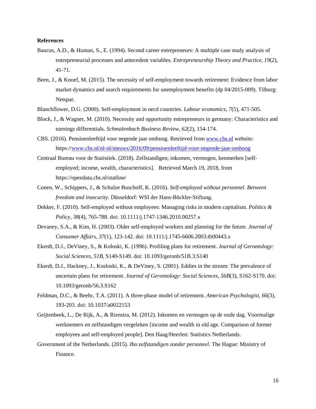## **References**

- Baucus, A.D., & Human, S., E. (1994). Second career entrepreneurs: A multiple case study analysis of entrepreneurial processes and antecedent variables. *Entrepreneurship Theory and Practice, 19*(2), 41-71.
- Been, J., & Knoef, M. (2015). The necessity of self-employment towards retirement: Evidence from labor market dynamics and search requirements for unemployment benefits (dp 04/2015-009). Tilburg: Netspar.
- Blanchflower, D.G. (2000). Self-employment in oecd countries. *Labour economics, 7*(5), 471-505.
- Block, J., & Wagner, M. (2010). Necessity and opportunity entrepreneurs in germany: Characteristics and earnings differentials. *Schmalenbach Business Review, 62*(2), 154-174.
- CBS. (2016). Pensioenleeftijd voor negende jaar omhoog. Retrieved from www.cbs.nl website: https://www.cbs.nl/nl-nl/nieuws/2016/09/pensioenleeftijd-voor-negende-jaar-omhoog
- Centraal Bureau voor de Statistiek. (2018). Zelfstandigen; inkomen, vermogen, kenmerken [selfemployed; income, wealth, characteristics]. Retrieved March 19, 2018, from https://opendata.cbs.nl/statline/
- Conen, W., Schippers, J., & Schulze Buschoff, K. (2016). *Self-employed without personnel. Between freedom and insecurity*. Düsseldorf: WSI der Hans-Böckler-Stiftung.
- Dekker, F. (2010). Self-employed without employees: Managing risks in modern capitalism. *Politics & Policy, 38*(4), 765-788. doi: 10.1111/j.1747-1346.2010.00257.x
- Devaney, S.A., & Kim, H. (2003). Older self-employed workers and planning for the future. *Journal of Consumer Affairs, 37*(1), 123-142. doi: 10.1111/j.1745-6606.2003.tb00443.x
- Ekerdt, D.J., DeViney, S., & Koloski, K. (1996). Profiling plans for retirement. *Journal of Gerontology: Social Sciences, 51B*, S140-S149. doi: 10.1093/geronb/51B.3.S140
- Ekerdt, D.J., Hackney, J., Kosloski, K., & DeViney, S. (2001). Eddies in the stream: The prevalence of uncertain plans for retirement. *Journal of Gerontology: Social Sciences, 56B*(3), S162-S170. doi: 10.1093/geronb/56.3.S162
- Feldman, D.C., & Beehr, T.A. (2011). A three-phase model of retirement. *American Psychologist, 66*(3), 193-203. doi: 10.1037/a0022153
- Geijtenbeek, L., De Rijk, A., & Rienstra, M. (2012). Inkomen en vermogen op de oude dag. Voormalige werknemers en zelfstandigen vergeleken [income and wealth in old age. Comparison of former employees and self-employed people]. Den Haag/Heerlen: Statistics Netherlands.
- Government of the Netherlands. (2015). *Ibo zelfstandigen zonder personeel*. The Hague: Ministry of Finance.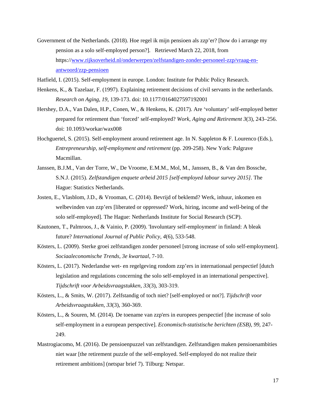Government of the Netherlands. (2018). Hoe regel ik mijn pensioen als zzp'er? [how do i arrange my pension as a solo self-employed person?]. Retrieved March 22, 2018, from https://www.rijksoverheid.nl/onderwerpen/zelfstandigen-zonder-personeel-zzp/vraag-enantwoord/zzp-pensioen

Hatfield, I. (2015). Self-employment in europe. London: Institute for Public Policy Research.

- Henkens, K., & Tazelaar, F. (1997). Explaining retirement decisions of civil servants in the netherlands. *Research on Aging, 19*, 139-173. doi: 10.1177/0164027597192001
- Hershey, D.A., Van Dalen, H.P., Conen, W., & Henkens, K. (2017). Are 'voluntary' self-employed better prepared for retirement than 'forced' self-employed? *Work, Aging and Retirement 3*(3), 243–256. doi: 10.1093/workar/wax008
- Hochguertel, S. (2015). Self-employment around retirement age. In N. Sappleton & F. Lourenco (Eds.), *Entrepreneurship, self-employment and retirement* (pp. 209-258). New York: Palgrave Macmillan.
- Janssen, B.J.M., Van der Torre, W., De Vroome, E.M.M., Mol, M., Janssen, B., & Van den Bossche, S.N.J. (2015). *Zelfstandigen enquete arbeid 2015 [self-employed labour survey 2015]*. The Hague: Statistics Netherlands.
- Josten, E., Vlasblom, J.D., & Vrooman, C. (2014). Bevrijd of beklemd? Werk, inhuur, inkomen en welbevinden van zzp'ers [liberated or oppressed? Work, hiring, income and well-being of the solo self-employed]. The Hague: Netherlands Institute for Social Research (SCP).
- Kautonen, T., Palmroos, J., & Vainio, P. (2009). 'Involuntary self-employment' in finland: A bleak future? *International Journal of Public Policy, 4*(6), 533-548.
- Kösters, L. (2009). Sterke groei zelfstandigen zonder personeel [strong increase of solo self-employment]. *Sociaaleconomische Trends, 3e kwartaal*, 7-10.
- Kösters, L. (2017). Nederlandse wet- en regelgeving rondom zzp'ers in internationaal perspectief [dutch legislation and regulations concerning the solo self-employed in an international perspective]. *Tijdschrift voor Arbeidsvraagstukken, 33*(3), 303-319.
- Kösters, L., & Smits, W. (2017). Zelfstandig of toch niet? [self-employed or not?]. *Tijdschrift voor Arbeidsvraagstukken, 33*(3), 360-369.
- Kösters, L., & Souren, M. (2014). De toename van zzp'ers in europees perspectief [the increase of solo self-employment in a european perspective]. *Economisch-statistische berichten (ESB), 99*, 247- 249.
- Mastrogiacomo, M. (2016). De pensioenpuzzel van zelfstandigen. Zelfstandigen maken pensioenambities niet waar [the retirement puzzle of the self-employed. Self-employed do not realize their retirement ambitions] (netspar brief 7). Tilburg: Netspar.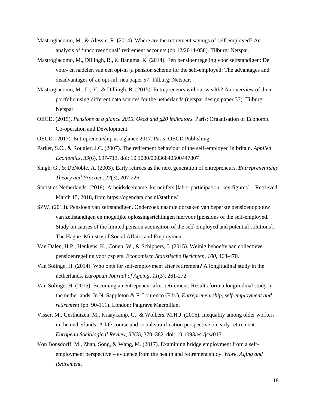- Mastrogiacomo, M., & Alessie, R. (2014). Where are the retirement savings of self-employed? An analysis of 'unconventional' retirement accounts (dp 12/2014-058). Tilburg: Netspar.
- Mastrogiacomo, M., Dillingh, R., & Bangma, K. (2014). Een pensioenregeling voor zelfstandigen: De voor- en nadelen van een opt-in [a pension scheme for the self-employed: The advantages and disadvantages of an opt-in], nea paper 57. Tilburg: Netspar.
- Mastrogiacomo, M., Li, Y., & Dillingh, R. (2015). Entrepreneurs without wealth? An overview of their portfolio using different data sources for the netherlands (netspar design paper 37). Tilburg: Netspar
- OECD. (2015). *Pensions at a glance 2015. Oecd and g20 indicators*. Paris: Organisation of Economic Co-operation and Development.
- OECD. (2017). Entrepreneurship at a glance 2017. Paris: OECD Publishing.
- Parker, S.C., & Rougier, J.C. (2007). The retirement behaviour of the self-employed in britain. *Applied Economics, 39*(6), 697-713. doi: 10.1080/00036840500447807
- Singh, G., & DeNoble, A. (2003). Early retirees as the next generation of entrepreneurs. *Entrepreneurship Theory and Practice, 27*(3), 207-226.
- Statistics Netherlands. (2018). Arbeidsdeelname; kerncijfers [labor participation; key figures]. Retrieved March 15, 2018, from https://opendata.cbs.nl/statline/
- SZW. (2013). Pensioen van zelfstandigen. Onderzoek naar de oorzaken van beperkte pensioenopbouw van zelfstandigen en mogelijke oplossingsrichtingen hiervoor [pensions of the self-employed. Study on causes of the limited pension acquisition of the self-employed and potential solutions]. The Hague: Ministry of Social Affairs and Employment.
- Van Dalen, H.P., Henkens, K., Conen, W., & Schippers, J. (2015). Weinig behoefte aan collectieve pensioenregeling voor zzp'ers. *Economisch Statistische Berichten, 100*, 468-470.
- Van Solinge, H. (2014). Who opts for self-employment after retirement? A longitudinal study in the netherlands. *European Journal of Ageing, 11*(3), 261-272
- Van Solinge, H. (2015). Becoming an entrepeneur after retirement: Results form a longitudinal study in the netherlands. In N. Sappleton & F. Lourenco (Eds.), *Entrepreneurship, self-employment and retirement* (pp. 90-111). London: Palgrave Macmillan.
- Visser, M., Gesthuizen, M., Kraaykamp, G., & Wolbers, M.H.J. (2016). Inequality among older workers in the netherlands: A life course and social stratification perspective on early retirement. *European Sociological Review, 32*(3), 370–382. doi: 10.1093/esr/jcw013
- Von Bonsdorff, M., Zhan, Song, & Wang, M. (2017). Examining bridge employment from a selfemployment perspective – evidence from the health and retirement study. *Work, Aging and Retirement*.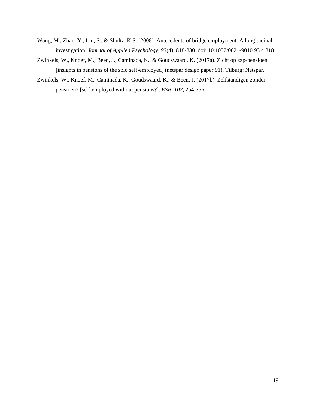- Wang, M., Zhan, Y., Liu, S., & Shultz, K.S. (2008). Antecedents of bridge employment: A longitudinal investigation. *Journal of Applied Psychology, 93*(4), 818-830. doi: 10.1037/0021-9010.93.4.818
- Zwinkels, W., Knoef, M., Been, J., Caminada, K., & Goudswaard, K. (2017a). Zicht op zzp-pensioen [insights in pensions of the solo self-employed] (netspar design paper 91). Tilburg: Netspar.
- Zwinkels, W., Knoef, M., Caminada, K., Goudswaard, K., & Been, J. (2017b). Zelfstandigen zonder pensioen? [self-employed without pensions?]. *ESB, 102*, 254-256.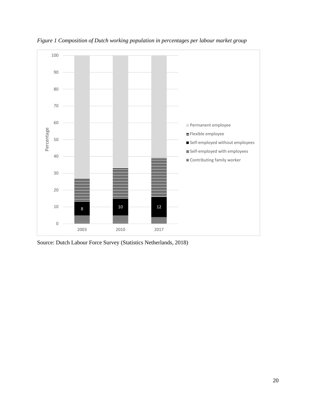

*Figure 1 Composition of Dutch working population in percentages per labour market group* 

Source: Dutch Labour Force Survey (Statistics Netherlands, 2018)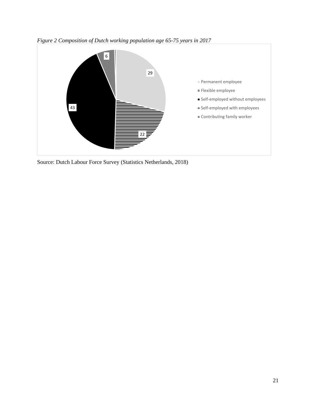



Source: Dutch Labour Force Survey (Statistics Netherlands, 2018)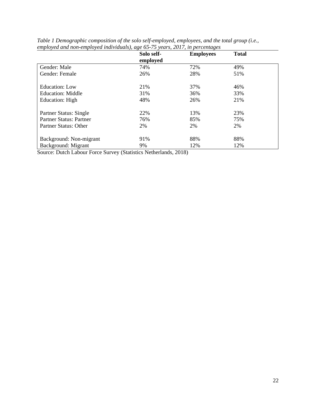|                          | Solo self-<br>employed | <b>Employees</b> | <b>Total</b> |
|--------------------------|------------------------|------------------|--------------|
| Gender: Male             | 74%                    | 72%              | 49%          |
| Gender: Female           | 26%                    | 28%              | 51%          |
| Education: Low           | 21%                    | 37%              | 46%          |
| <b>Education: Middle</b> | 31%                    | 36%              | 33%          |
| Education: High          | 48%                    | 26%              | 21%          |
| Partner Status: Single   | 22%                    | 13%              | 23%          |
| Partner Status: Partner  | 76%                    | 85%              | 75%          |
| Partner Status: Other    | 2%                     | 2%               | 2%           |
| Background: Non-migrant  | 91%                    | 88%              | 88%          |
| Background: Migrant      | 9%                     | 12%              | 12%          |

*Table 1 Demographic composition of the solo self-employed, employees, and the total group (i.e., employed and non-employed individuals), age 65-75 years, 2017, in percentages* 

Source: Dutch Labour Force Survey (Statistics Netherlands, 2018)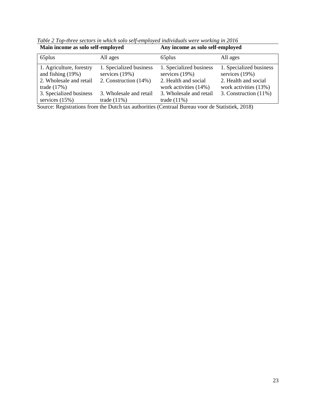| Main income as solo self-employed                                                           |                                                                      | Any income as solo self-employed                                                             |                                                                                            |  |  |
|---------------------------------------------------------------------------------------------|----------------------------------------------------------------------|----------------------------------------------------------------------------------------------|--------------------------------------------------------------------------------------------|--|--|
| 65plus                                                                                      | All ages                                                             | 65plus                                                                                       | All ages                                                                                   |  |  |
| 1. Agriculture, forestry<br>and fishing $(19%)$<br>2. Wholesale and retail<br>trade $(17%)$ | 1. Specialized business<br>services $(19%)$<br>2. Construction (14%) | 1. Specialized business<br>services $(19%)$<br>2. Health and social<br>work activities (14%) | 1. Specialized business<br>services (19%)<br>2. Health and social<br>work activities (13%) |  |  |
| 3. Specialized business                                                                     | 3. Wholesale and retail                                              | 3. Wholesale and retail                                                                      | 3. Construction $(11\%)$                                                                   |  |  |
| services $(15%)$<br>$\sim$ $\sim$ $\sim$ $\sim$                                             | trade $(11\%)$<br>$\sim$ $\sim$ $\sim$ $\sim$ $\sim$ $\sim$          | trade $(11\%)$                                                                               | $\sim$ $\sim$ $\sim$ $\sim$ $\sim$ $\sim$                                                  |  |  |

*Table 2 Top-three sectors in which solo self-employed individuals were working in 2016* 

Source: Registrations from the Dutch tax authorities (Centraal Bureau voor de Statistiek, 2018)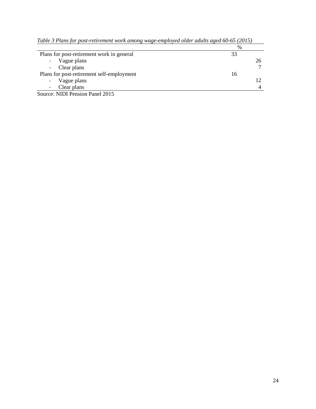|                                           | %  |
|-------------------------------------------|----|
| Plans for post-retirement work in general | 33 |
| - Vague plans                             |    |
| - Clear plans                             |    |
| Plans for post-retirement self-employment | 16 |
| Vague plans<br>$\overline{\phantom{a}}$   |    |
| Clear plans                               |    |

|  |  | Table 3 Plans for post-retirement work among wage-employed older adults aged 60-65 (2015) |  |  |  |  |  |  |  |  |
|--|--|-------------------------------------------------------------------------------------------|--|--|--|--|--|--|--|--|
|--|--|-------------------------------------------------------------------------------------------|--|--|--|--|--|--|--|--|

Source: NIDI Pension Panel 2015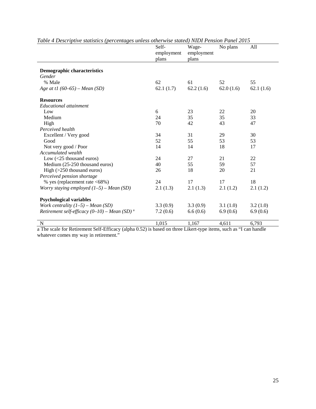| radic + Descriptive shanshes (percentages unicss offici wise shared) ixiDr r chsion r anci 2019 | Self-<br>employment<br>plans | Wage-<br>employment<br>plans | No plans  | All       |
|-------------------------------------------------------------------------------------------------|------------------------------|------------------------------|-----------|-----------|
|                                                                                                 |                              |                              |           |           |
| <b>Demographic characteristics</b>                                                              |                              |                              |           |           |
| Gender                                                                                          |                              |                              |           |           |
| % Male                                                                                          | 62                           | 61                           | 52        | 55        |
| Age at t1 $(60-65)$ – Mean $(SD)$                                                               | 62.1(1.7)                    | 62.2(1.6)                    | 62.0(1.6) | 62.1(1.6) |
| <b>Resources</b>                                                                                |                              |                              |           |           |
| Educational attainment                                                                          |                              |                              |           |           |
| Low                                                                                             | 6                            | 23                           | 22        | 20        |
| Medium                                                                                          | 24                           | 35                           | 35        | 33        |
| High                                                                                            | 70                           | 42                           | 43        | 47        |
| Perceived health                                                                                |                              |                              |           |           |
| Excellent / Very good                                                                           | 34                           | 31                           | 29        | 30        |
| Good                                                                                            | 52                           | 55                           | 53        | 53        |
| Not very good / Poor                                                                            | 14                           | 14                           | 18        | 17        |
| Accumulated wealth                                                                              |                              |                              |           |           |
| Low $(<25$ thousand euros)                                                                      | 24                           | 27                           | 21        | 22        |
| Medium (25-250 thousand euros)                                                                  | 40                           | 55                           | 59        | 57        |
| High $(>250$ thousand euros)                                                                    | 26                           | 18                           | 20        | 21        |
| Perceived pension shortage                                                                      |                              |                              |           |           |
| % yes (replacement rate <68%)                                                                   | 24                           | 17                           | 17        | 18        |
| Worry staying employed $(1-5)$ - Mean (SD)                                                      | 2.1(1.3)                     | 2.1(1.3)                     | 2.1(1.2)  | 2.1(1.2)  |
| <b>Psychological variables</b>                                                                  |                              |                              |           |           |
| Work centrality $(1-5)$ – Mean (SD)                                                             | 3.3(0.9)                     | 3.3(0.9)                     | 3.1(1.0)  | 3.2(1.0)  |
| Retirement self-efficacy $(0-10)$ – Mean (SD) <sup>a</sup>                                      | 7.2(0.6)                     | 6.6(0.6)                     | 6.9(0.6)  | 6.9(0.6)  |
| $\mathbf N$                                                                                     | 1,015                        | 1,167                        | 4,611     | 6,793     |

*Table 4 Descriptive statistics (percentages unless otherwise stated) NIDI Pension Panel 2015* 

a The scale for Retirement Self-Efficacy (alpha 0.52) is based on three Likert-type items, such as "I can handle whatever comes my way in retirement."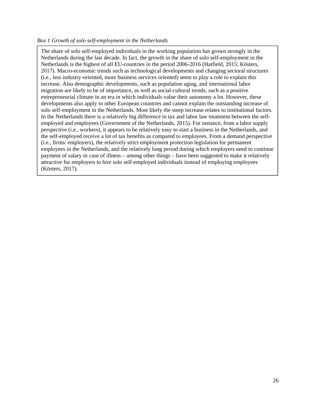# *Box 1 Growth of solo self-employment in the Netherlands*

The share of solo self-employed individuals in the working population has grown strongly in the Netherlands during the last decade. In fact, the growth in the share of solo self-employment in the Netherlands is the highest of all EU-countries in the period 2006-2016 (Hatfield, 2015; Kösters, 2017). Macro-economic trends such as technological developments and changing sectoral structures (i.e., less industry-oriented, more business services oriented) seem to play a role to explain this increase. Also demographic developments, such as population aging, and international labor migration are likely to be of importance, as well as social-cultural trends, such as a positive entrepreneurial climate in an era in which individuals value their autonomy a lot. However, these developments also apply to other European countries and cannot explain the outstanding increase of solo self-employment in the Netherlands. Most likely the steep increase relates to institutional factors. In the Netherlands there is a relatively big difference in tax and labor law treatment between the selfemployed and employees (Government of the Netherlands, 2015). For instance, from a labor supply perspective (i.e., workers), it appears to be relatively easy to start a business in the Netherlands, and the self-employed receive a lot of tax benefits as compared to employees. From a demand perspective (i.e., firms/ employers), the relatively strict employment protection legislation for permanent employees in the Netherlands, and the relatively long period during which employers need to continue payment of salary in case of illness – among other things – have been suggested to make it relatively attractive for employers to hire solo self-employed individuals instead of employing employees (Kösters, 2017).